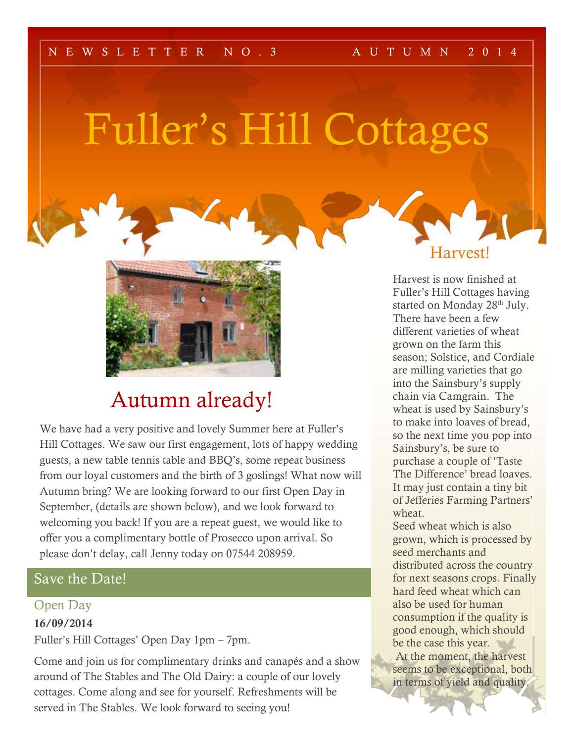#### N EWSLETTER NO. 3 AUTUMN 2014

# Fuller's Hill Cottages



### Autumn already!

We have had a very positive and lovely Summer here at Fuller's Hill Cottages. We saw our first engagement, lots of happy wedding guests, a new table tennis table and BBQ's, some repeat business from our loyal customers and the birth of 3 goslings! What now will Autumn bring? We are looking forward to our first Open Day in September, (details are shown below), and we look forward to welcoming you back! If you are a repeat guest, we would like to offer you a complimentary bottle of Prosecco upon arrival. So please don't delay, call Jenny today on 07544 208959.

#### Save the Date!

#### Open Day

#### 16/09/2014

Fuller's Hill Cottages' Open Day 1pm – 7pm.

Come and join us for complimentary drinks and canapés and a show around of The Stables and The Old Dairy: a couple of our lovely cottages. Come along and see for yourself. Refreshments will be served in The Stables. We look forward to seeing you!

Harvest!

Harvest is now finished at Fuller's Hill Cottages having started on Monday 28<sup>th</sup> July. There have been a few different varieties of wheat grown on the farm this season; Solstice, and Cordiale are milling varieties that go into the Sainsbury's supply chain via Camgrain. The wheat is used by Sainsbury's to make into loaves of bread, so the next time you pop into Sainsbury's, be sure to purchase a couple of 'Taste The Difference' bread loaves. It may just contain a tiny bit of Jefferies Farming Partners' wheat.

Seed wheat which is also grown, which is processed by seed merchants and distributed across the country for next seasons crops. Finally hard feed wheat which can also be used for human consumption if the quality is good enough, which should be the case this year. At the moment, the harvest seems to be exceptional, both in terms of yield and quality.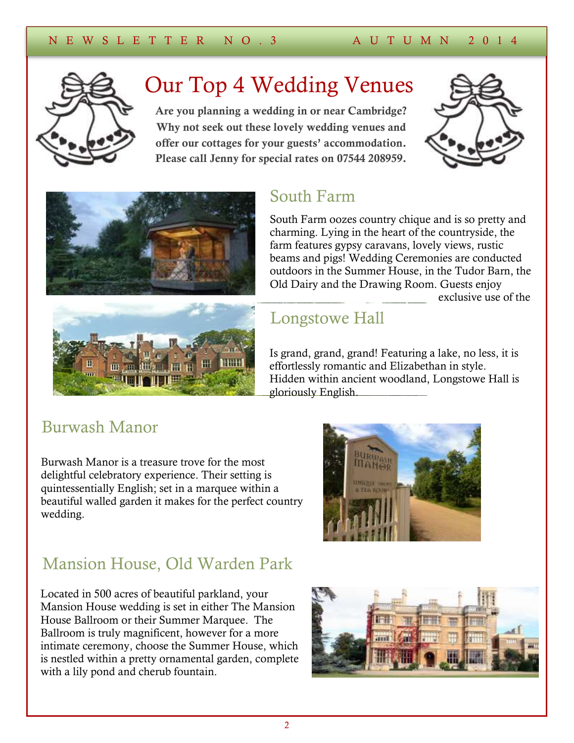

# Our Top 4 Wedding Venues

Are you planning a wedding in or near Cambridge? Why not seek out these lovely wedding venues and offer our cottages for your guests' accommodation. Please call Jenny for special rates on 07544 208959.







### South Farm

South Farm oozes country chique and is so pretty and charming. Lying in the heart of the countryside, the farm features gypsy caravans, lovely views, rustic beams and pigs! [Wedding Ceremonies](http://www.south-farm.co.uk/weddings/ceremonies/) are conducted outdoors in the Summer House, in the Tudor Barn, the Old Dairy and the Drawing Room. Guests enjoy exclusive use of the

# Longstowe Hall Longstowe Hall

Is grand, grand, grand! Featuring a lake, no less, it is effortlessly romantic and Elizabethan in style. Hidden within ancient woodland, Longstowe Hall is gloriously English.

### Burwash Manor

Burwash Manor is a treasure trove for the most delightful celebratory experience. Their setting is quintessentially English; set in a marquee within a beautiful walled garden it makes for the perfect country wedding.



### Mansion House, Old Warden Park

Located in 500 acres of beautiful parkland, your Mansion House wedding is set in either The Mansion House Ballroom or their Summer Marquee. The Ballroom is truly magnificent, however for a more intimate ceremony, choose the Summer House, which is nestled within a pretty ornamental garden, complete with a lily pond and cherub fountain.

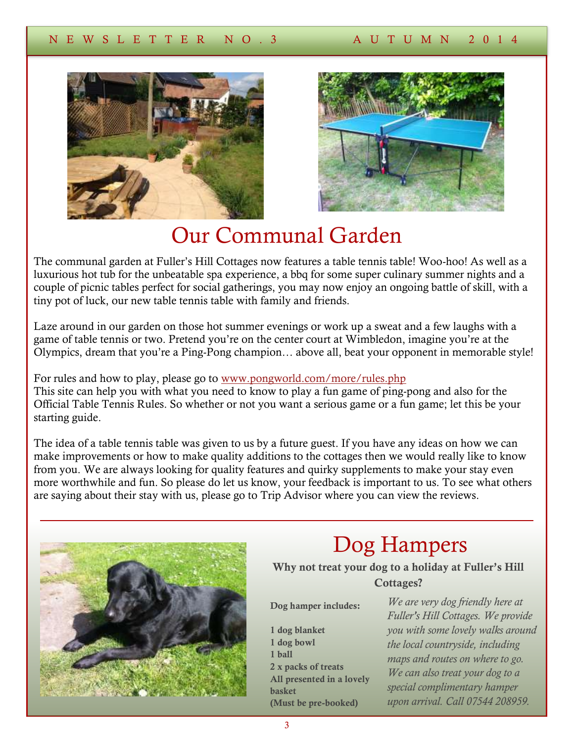



## Our Communal Garden

The communal garden at Fuller's Hill Cottages now features a table tennis table! Woo-hoo! As well as a luxurious hot tub for the unbeatable spa experience, a bbq for some super culinary summer nights and a couple of picnic tables perfect for social gatherings, you may now enjoy an ongoing battle of skill, with a tiny pot of luck, our new table tennis table with family and friends.

Laze around in our garden on those hot summer evenings or work up a sweat and a few laughs with a game of table tennis or two. Pretend you're on the center court at Wimbledon, imagine you're at the Olympics, dream that you're a Ping-Pong champion… above all, beat your opponent in memorable style!

For rules and how to play, please go to [www.pongworld.com/more/rules.php](http://www.pongworld.com/more/rules.php) This site can help you with what you need to know to play a fun game of ping-pong and also for the Official Table Tennis Rules. So whether or not you want a serious game or a fun game; let this be your starting guide.

The idea of a table tennis table was given to us by a future guest. If you have any ideas on how we can make improvements or how to make quality additions to the cottages then we would really like to know from you. We are always looking for quality features and quirky supplements to make your stay even more worthwhile and fun. So please do let us know, your feedback is important to us. To see what others are saying about their stay with us, please go to Trip Advisor where you can view the reviews.



# Dog Hampers

Why not treat your dog to a holiday at Fuller's Hill Cottages?

Dog hamper includes:

1 dog blanket 1 dog bowl 1 ball 2 x packs of treats All presented in a lovely basket (Must be pre-booked)

*We are very dog friendly here at Fuller's Hill Cottages. We provide you with some lovely walks around the local countryside, including maps and routes on where to go. We can also treat your dog to a special complimentary hamper upon arrival. Call 07544 208959.*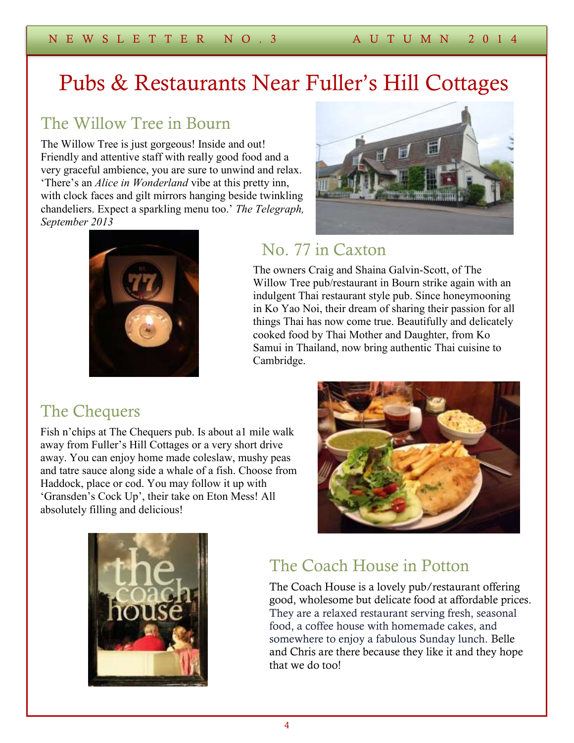# Pubs & Restaurants Near Fuller's Hill Cottages

### The Willow Tree in Bourn

The Willow Tree is just gorgeous! Inside and out! Friendly and attentive staff with really good food and a very graceful ambience, you are sure to unwind and relax. 'There's an *Alice in Wonderland* vibe at this pretty inn, with clock faces and gilt mirrors hanging beside twinkling chandeliers. Expect a sparkling menu too.' *The Telegraph, September 2013*



### No. 77 in Caxton

The owners Craig and Shaina Galvin-Scott, of The Willow Tree pub/restaurant in Bourn strike again with an indulgent Thai restaurant style pub. Since honeymooning in Ko Yao Noi, their dream of sharing their passion for all things Thai has now come true. Beautifully and delicately cooked food by Thai Mother and Daughter, from Ko Samui in Thailand, now bring authentic Thai cuisine to Cambridge.

### The Chequers

Fish n'chips at The Chequers pub. Is about a1 mile walk away from Fuller's Hill Cottages or a very short drive away. You can enjoy home made coleslaw, mushy peas and tatre sauce along side a whale of a fish. Choose from Haddock, place or cod. You may follow it up with 'Gransden's Cock Up', their take on Eton Mess! All absolutely filling and delicious!





### The Coach House in Potton

The Coach House is a lovely pub/restaurant offering good, wholesome but delicate food at affordable prices. They are a relaxed restaurant serving fresh, seasonal food, a coffee house with homemade cakes, and somewhere to enjoy a fabulous Sunday lunch. Belle and Chris are there because they like it and they hope that we do too!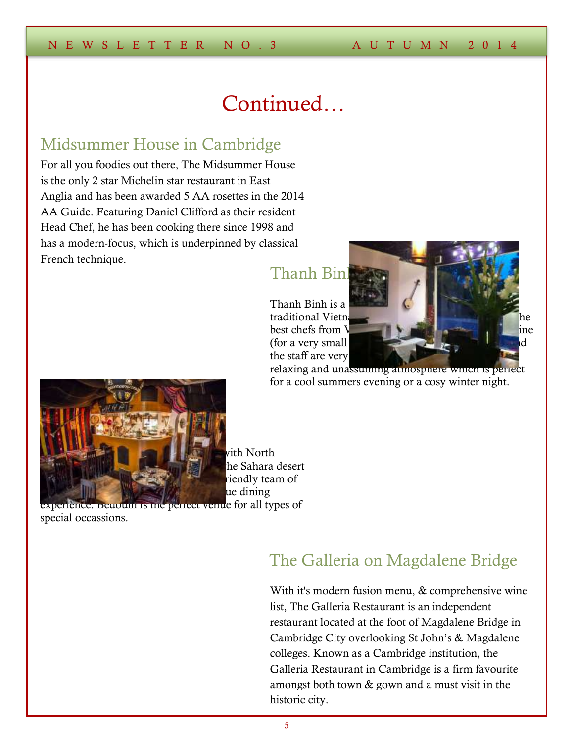## Continued…

#### Midsummer House in Cambridge

For all you foodies out there, The Midsummer House is the only 2 star Michelin star restaurant in East Anglia and has been awarded 5 AA rosettes in the 2014 AA Guide. Featuring Daniel Clifford as their resident Head Chef, he has been cooking there since 1998 and has a modern-focus, which is underpinned by classical French technique.

#### Thanh Binl

Thanh Binh is a the staff are very



relaxing and unassuming atmosphere which is perfect for a cool summers evening or a cosy winter night.



vith North he Sahara desert riendly team of ue dining

experience. Bedouin is the perfect venue for all types of special occassions.

### The Galleria on Magdalene Bridge

With it's modern fusion menu, & comprehensive wine list, The Galleria Restaurant is an independent restaurant located at the foot of Magdalene Bridge in Cambridge City overlooking St John's & Magdalene colleges. Known as a Cambridge institution, the Galleria Restaurant in Cambridge is a firm favourite amongst both town & gown and a must visit in the historic city.